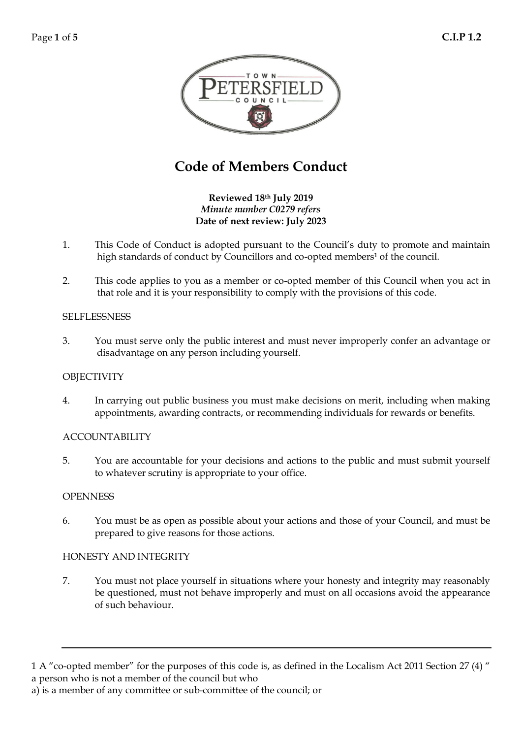

# **Code of Members Conduct**

**Reviewed 18th July 2019** *Minute number C0279 refers* **Date of next review: July 2023**

- 1. This Code of Conduct is adopted pursuant to the Council's duty to promote and maintain high standards of conduct by Councillors and co-opted members<sup>1</sup> of the council.
- 2. This code applies to you as a member or co-opted member of this Council when you act in that role and it is your responsibility to comply with the provisions of this code.

## **SELFLESSNESS**

3. You must serve only the public interest and must never improperly confer an advantage or disadvantage on any person including yourself.

## **OBJECTIVITY**

4. In carrying out public business you must make decisions on merit, including when making appointments, awarding contracts, or recommending individuals for rewards or benefits.

#### ACCOUNTABILITY

5. You are accountable for your decisions and actions to the public and must submit yourself to whatever scrutiny is appropriate to your office.

#### **OPENNESS**

6. You must be as open as possible about your actions and those of your Council, and must be prepared to give reasons for those actions.

#### HONESTY AND INTEGRITY

7. You must not place yourself in situations where your honesty and integrity may reasonably be questioned, must not behave improperly and must on all occasions avoid the appearance of such behaviour.

<sup>1</sup> A "co-opted member" for the purposes of this code is, as defined in the Localism Act 2011 Section 27 (4) " a person who is not a member of the council but who

a) is a member of any committee or sub-committee of the council; or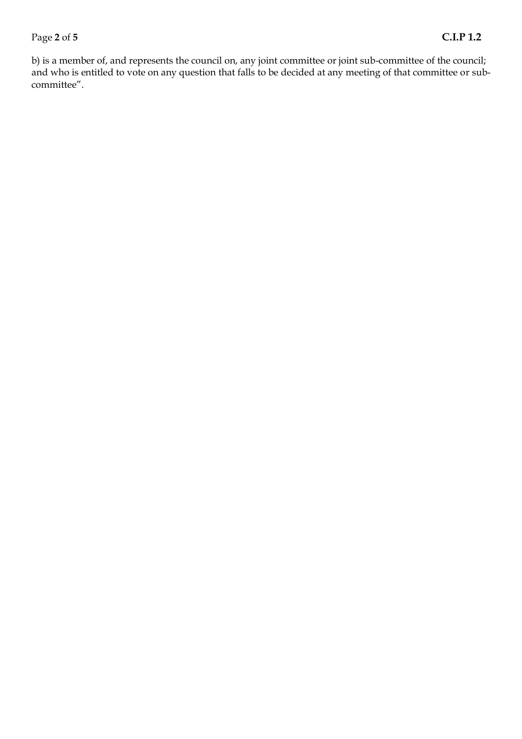## Page **2** of **5 C.I.P 1.2**

b) is a member of, and represents the council on, any joint committee or joint sub-committee of the council; and who is entitled to vote on any question that falls to be decided at any meeting of that committee or subcommittee".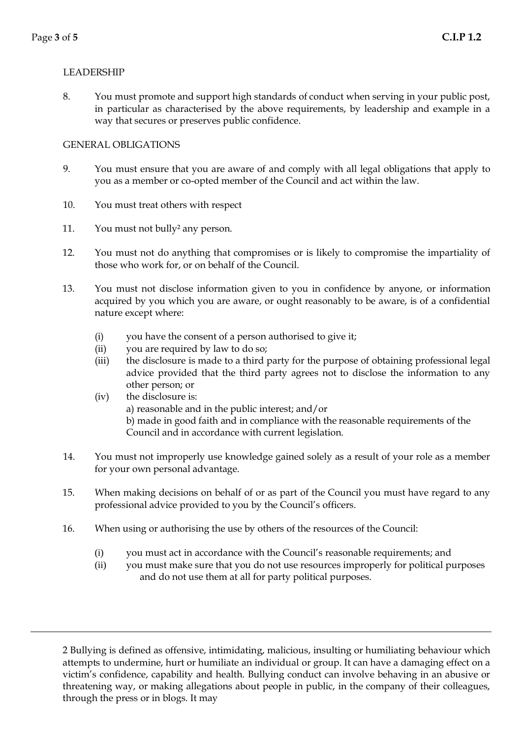## LEADERSHIP

8. You must promote and support high standards of conduct when serving in your public post, in particular as characterised by the above requirements, by leadership and example in a way that secures or preserves public confidence.

## GENERAL OBLIGATIONS

- 9. You must ensure that you are aware of and comply with all legal obligations that apply to you as a member or co-opted member of the Council and act within the law.
- 10. You must treat others with respect
- 11. You must not bully² any person.
- 12. You must not do anything that compromises or is likely to compromise the impartiality of those who work for, or on behalf of the Council.
- 13. You must not disclose information given to you in confidence by anyone, or information acquired by you which you are aware, or ought reasonably to be aware, is of a confidential nature except where:
	- (i) you have the consent of a person authorised to give it;
	- (ii) you are required by law to do so;
	- (iii) the disclosure is made to a third party for the purpose of obtaining professional legal advice provided that the third party agrees not to disclose the information to any other person; or
	- (iv) the disclosure is: a) reasonable and in the public interest; and/or b) made in good faith and in compliance with the reasonable requirements of the Council and in accordance with current legislation.
- 14. You must not improperly use knowledge gained solely as a result of your role as a member for your own personal advantage.
- 15. When making decisions on behalf of or as part of the Council you must have regard to any professional advice provided to you by the Council's officers.
- 16. When using or authorising the use by others of the resources of the Council:
	- (i) you must act in accordance with the Council's reasonable requirements; and
	- (ii) you must make sure that you do not use resources improperly for political purposes and do not use them at all for party political purposes.

2 Bullying is defined as offensive, intimidating, malicious, insulting or humiliating behaviour which attempts to undermine, hurt or humiliate an individual or group. It can have a damaging effect on a victim's confidence, capability and health. Bullying conduct can involve behaving in an abusive or threatening way, or making allegations about people in public, in the company of their colleagues, through the press or in blogs. It may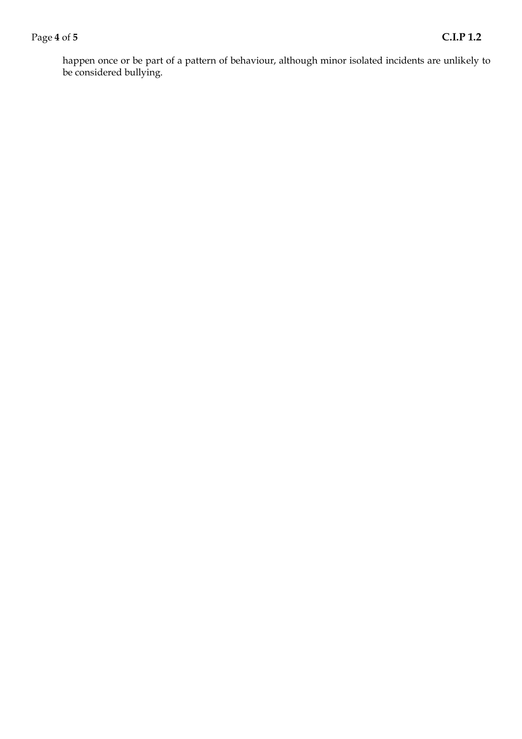## Page **4** of **5 C.I.P 1.2**

happen once or be part of a pattern of behaviour, although minor isolated incidents are unlikely to be considered bullying.